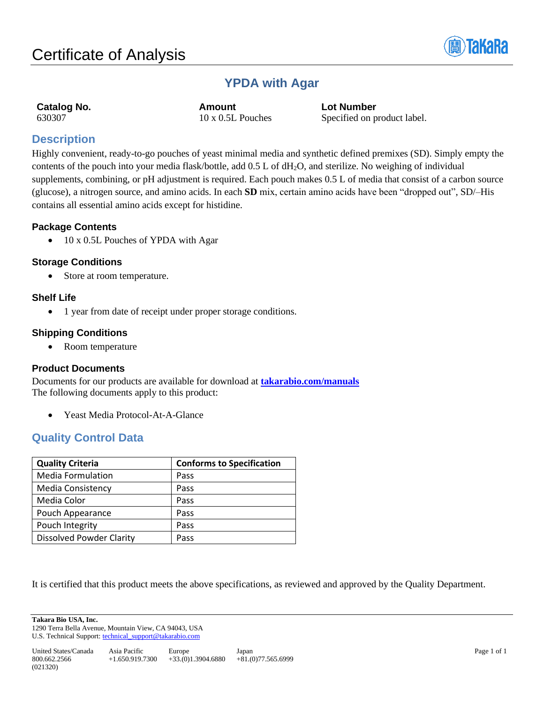

# **YPDA with Agar**

**Catalog No. Amount Lot Number** 630307 10 x 0.5L Pouches Specified on product label.

## **Description**

Highly convenient, ready-to-go pouches of yeast minimal media and synthetic defined premixes (SD). Simply empty the contents of the pouch into your media flask/bottle, add 0.5 L of dH2O, and sterilize. No weighing of individual supplements, combining, or pH adjustment is required. Each pouch makes 0.5 L of media that consist of a carbon source (glucose), a nitrogen source, and amino acids. In each **SD** mix, certain amino acids have been "dropped out", SD/–His contains all essential amino acids except for histidine.

## **Package Contents**

• 10 x 0.5L Pouches of YPDA with Agar

## **Storage Conditions**

• Store at room temperature.

## **Shelf Life**

• 1 year from date of receipt under proper storage conditions.

## **Shipping Conditions**

• Room temperature

## **Product Documents**

Documents for our products are available for download at **[takarabio.com/manuals](http://www.takarabio.com/manuals)** The following documents apply to this product:

• Yeast Media Protocol-At-A-Glance

## **Quality Control Data**

| <b>Quality Criteria</b>         | <b>Conforms to Specification</b> |
|---------------------------------|----------------------------------|
| <b>Media Formulation</b>        | Pass                             |
| <b>Media Consistency</b>        | Pass                             |
| Media Color                     | Pass                             |
| Pouch Appearance                | Pass                             |
| Pouch Integrity                 | Pass                             |
| <b>Dissolved Powder Clarity</b> | Pass                             |

It is certified that this product meets the above specifications, as reviewed and approved by the Quality Department.